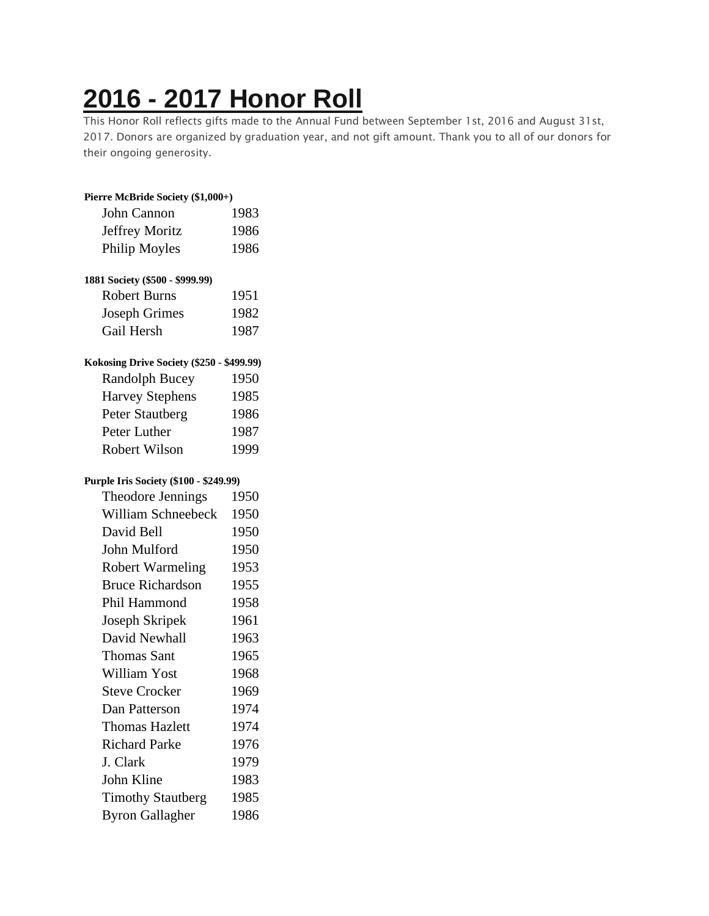# **2016 - 2017 [Honor](https://chidelts.2stayconnected.com/index.php?option=com_content&view=article&id=485:2016-2017-honor-roll&catid=42&Itemid=624) Roll**

This Honor Roll reflects gifts made to the Annual Fund between September 1st, 2016 and August 31st, 2017. Donors are organized by graduation year, and not gift amount. Thank you to all of our donors for their ongoing generosity.

## **Pierre McBride Society (\$1,000+)** John Cannon 1983 Jeffrey Moritz 1986 Philip Moyles 1986

## **1881 Society (\$500 - \$999.99)**

| Robert Burns         | 1951 |
|----------------------|------|
| <b>Joseph Grimes</b> | 1982 |
| Gail Hersh           | 1987 |

### **Kokosing Drive Society (\$250 - \$499.99)**

| <b>Randolph Bucey</b>  | 1950 |
|------------------------|------|
| <b>Harvey Stephens</b> | 1985 |
| Peter Stautberg        | 1986 |
| Peter Luther           | 1987 |
| Robert Wilson          | 1999 |

#### **Purple Iris Society (\$100 - \$249.99)**

| Theodore Jennings        | 1950 |
|--------------------------|------|
| William Schneebeck       | 1950 |
| David Bell               | 1950 |
| John Mulford             | 1950 |
| <b>Robert Warmeling</b>  | 1953 |
| <b>Bruce Richardson</b>  | 1955 |
| Phil Hammond             | 1958 |
| Joseph Skripek           | 1961 |
| David Newhall            | 1963 |
| <b>Thomas Sant</b>       | 1965 |
| William Yost             | 1968 |
| <b>Steve Crocker</b>     | 1969 |
| Dan Patterson            | 1974 |
| <b>Thomas Hazlett</b>    | 1974 |
| <b>Richard Parke</b>     | 1976 |
| J. Clark                 | 1979 |
| John Kline               | 1983 |
| <b>Timothy Stautberg</b> | 1985 |
| <b>Byron Gallagher</b>   | 1986 |